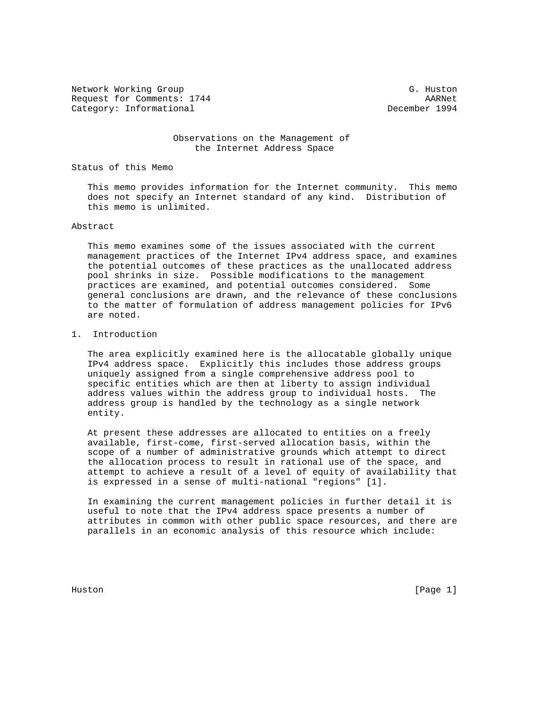Network Working Group G. Huston G. Huston Request for Comments: 1744 AARNet Category: Informational

## Observations on the Management of the Internet Address Space

Status of this Memo

 This memo provides information for the Internet community. This memo does not specify an Internet standard of any kind. Distribution of this memo is unlimited.

## Abstract

 This memo examines some of the issues associated with the current management practices of the Internet IPv4 address space, and examines the potential outcomes of these practices as the unallocated address pool shrinks in size. Possible modifications to the management practices are examined, and potential outcomes considered. Some general conclusions are drawn, and the relevance of these conclusions to the matter of formulation of address management policies for IPv6 are noted.

## 1. Introduction

 The area explicitly examined here is the allocatable globally unique IPv4 address space. Explicitly this includes those address groups uniquely assigned from a single comprehensive address pool to specific entities which are then at liberty to assign individual address values within the address group to individual hosts. The address group is handled by the technology as a single network entity.

 At present these addresses are allocated to entities on a freely available, first-come, first-served allocation basis, within the scope of a number of administrative grounds which attempt to direct the allocation process to result in rational use of the space, and attempt to achieve a result of a level of equity of availability that is expressed in a sense of multi-national "regions" [1].

 In examining the current management policies in further detail it is useful to note that the IPv4 address space presents a number of attributes in common with other public space resources, and there are parallels in an economic analysis of this resource which include:

Huston [Page 1]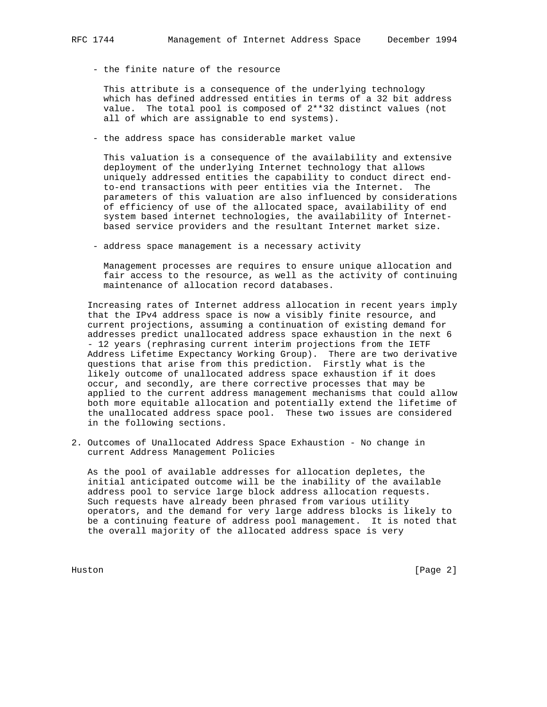- the finite nature of the resource

 This attribute is a consequence of the underlying technology which has defined addressed entities in terms of a 32 bit address value. The total pool is composed of 2\*\*32 distinct values (not all of which are assignable to end systems).

- the address space has considerable market value

 This valuation is a consequence of the availability and extensive deployment of the underlying Internet technology that allows uniquely addressed entities the capability to conduct direct end to-end transactions with peer entities via the Internet. The parameters of this valuation are also influenced by considerations of efficiency of use of the allocated space, availability of end system based internet technologies, the availability of Internet based service providers and the resultant Internet market size.

- address space management is a necessary activity

 Management processes are requires to ensure unique allocation and fair access to the resource, as well as the activity of continuing maintenance of allocation record databases.

 Increasing rates of Internet address allocation in recent years imply that the IPv4 address space is now a visibly finite resource, and current projections, assuming a continuation of existing demand for addresses predict unallocated address space exhaustion in the next 6 - 12 years (rephrasing current interim projections from the IETF Address Lifetime Expectancy Working Group). There are two derivative questions that arise from this prediction. Firstly what is the likely outcome of unallocated address space exhaustion if it does occur, and secondly, are there corrective processes that may be applied to the current address management mechanisms that could allow both more equitable allocation and potentially extend the lifetime of the unallocated address space pool. These two issues are considered in the following sections.

2. Outcomes of Unallocated Address Space Exhaustion - No change in current Address Management Policies

 As the pool of available addresses for allocation depletes, the initial anticipated outcome will be the inability of the available address pool to service large block address allocation requests. Such requests have already been phrased from various utility operators, and the demand for very large address blocks is likely to be a continuing feature of address pool management. It is noted that the overall majority of the allocated address space is very

Huston [Page 2]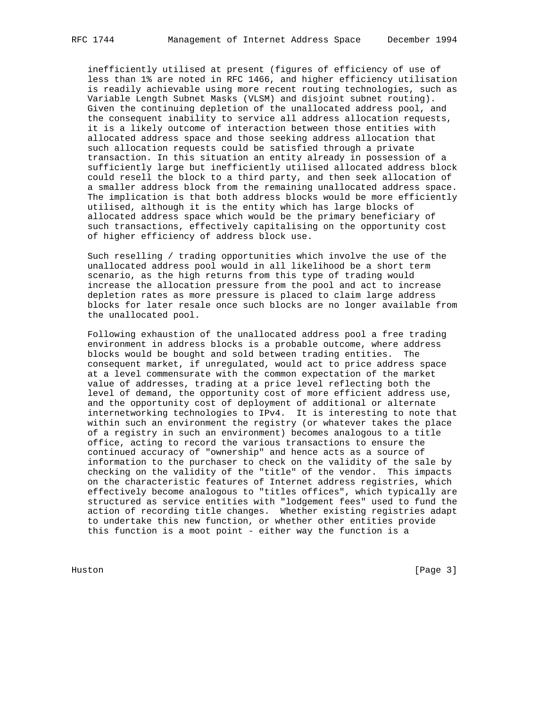inefficiently utilised at present (figures of efficiency of use of less than 1% are noted in RFC 1466, and higher efficiency utilisation is readily achievable using more recent routing technologies, such as Variable Length Subnet Masks (VLSM) and disjoint subnet routing). Given the continuing depletion of the unallocated address pool, and the consequent inability to service all address allocation requests, it is a likely outcome of interaction between those entities with allocated address space and those seeking address allocation that such allocation requests could be satisfied through a private transaction. In this situation an entity already in possession of a sufficiently large but inefficiently utilised allocated address block could resell the block to a third party, and then seek allocation of a smaller address block from the remaining unallocated address space. The implication is that both address blocks would be more efficiently utilised, although it is the entity which has large blocks of allocated address space which would be the primary beneficiary of such transactions, effectively capitalising on the opportunity cost

 Such reselling / trading opportunities which involve the use of the unallocated address pool would in all likelihood be a short term scenario, as the high returns from this type of trading would increase the allocation pressure from the pool and act to increase depletion rates as more pressure is placed to claim large address blocks for later resale once such blocks are no longer available from the unallocated pool.

of higher efficiency of address block use.

 Following exhaustion of the unallocated address pool a free trading environment in address blocks is a probable outcome, where address blocks would be bought and sold between trading entities. The consequent market, if unregulated, would act to price address space at a level commensurate with the common expectation of the market value of addresses, trading at a price level reflecting both the level of demand, the opportunity cost of more efficient address use, and the opportunity cost of deployment of additional or alternate internetworking technologies to IPv4. It is interesting to note that within such an environment the registry (or whatever takes the place of a registry in such an environment) becomes analogous to a title office, acting to record the various transactions to ensure the continued accuracy of "ownership" and hence acts as a source of information to the purchaser to check on the validity of the sale by checking on the validity of the "title" of the vendor. This impacts on the characteristic features of Internet address registries, which effectively become analogous to "titles offices", which typically are structured as service entities with "lodgement fees" used to fund the action of recording title changes. Whether existing registries adapt to undertake this new function, or whether other entities provide this function is a moot point - either way the function is a

Huston [Page 3]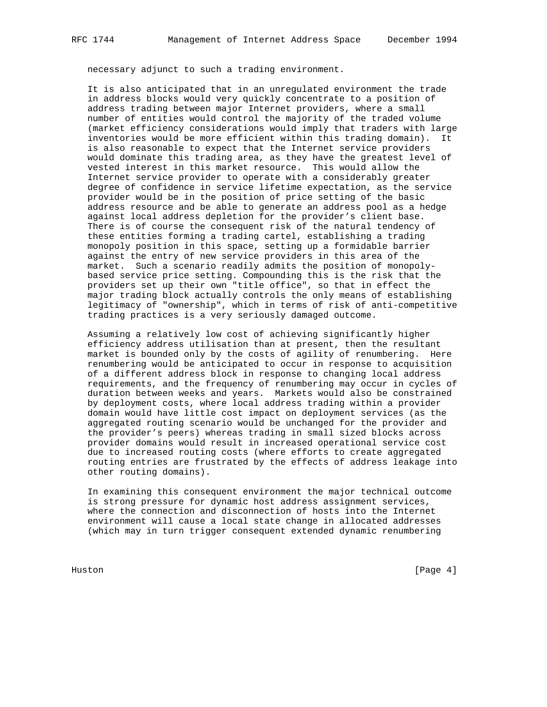necessary adjunct to such a trading environment.

 It is also anticipated that in an unregulated environment the trade in address blocks would very quickly concentrate to a position of address trading between major Internet providers, where a small number of entities would control the majority of the traded volume (market efficiency considerations would imply that traders with large inventories would be more efficient within this trading domain). It is also reasonable to expect that the Internet service providers would dominate this trading area, as they have the greatest level of vested interest in this market resource. This would allow the Internet service provider to operate with a considerably greater degree of confidence in service lifetime expectation, as the service provider would be in the position of price setting of the basic address resource and be able to generate an address pool as a hedge against local address depletion for the provider's client base. There is of course the consequent risk of the natural tendency of these entities forming a trading cartel, establishing a trading monopoly position in this space, setting up a formidable barrier against the entry of new service providers in this area of the market. Such a scenario readily admits the position of monopoly based service price setting. Compounding this is the risk that the providers set up their own "title office", so that in effect the major trading block actually controls the only means of establishing legitimacy of "ownership", which in terms of risk of anti-competitive trading practices is a very seriously damaged outcome.

 Assuming a relatively low cost of achieving significantly higher efficiency address utilisation than at present, then the resultant market is bounded only by the costs of agility of renumbering. Here renumbering would be anticipated to occur in response to acquisition of a different address block in response to changing local address requirements, and the frequency of renumbering may occur in cycles of duration between weeks and years. Markets would also be constrained by deployment costs, where local address trading within a provider domain would have little cost impact on deployment services (as the aggregated routing scenario would be unchanged for the provider and the provider's peers) whereas trading in small sized blocks across provider domains would result in increased operational service cost due to increased routing costs (where efforts to create aggregated routing entries are frustrated by the effects of address leakage into other routing domains).

 In examining this consequent environment the major technical outcome is strong pressure for dynamic host address assignment services, where the connection and disconnection of hosts into the Internet environment will cause a local state change in allocated addresses (which may in turn trigger consequent extended dynamic renumbering

Huston [Page 4]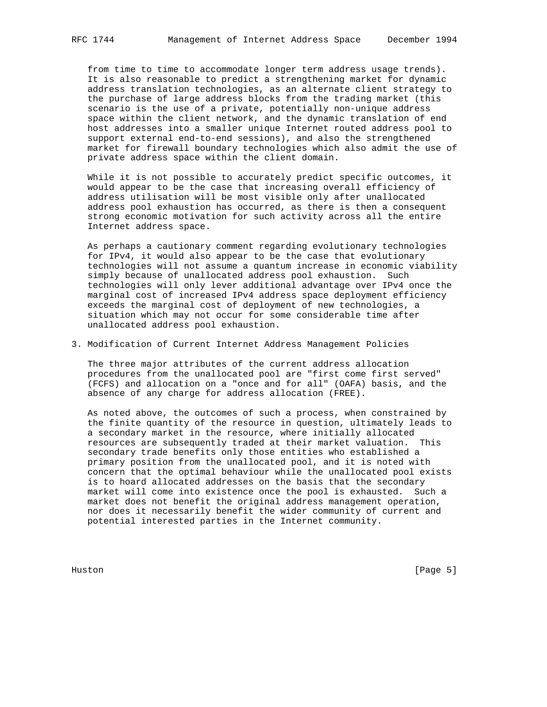from time to time to accommodate longer term address usage trends). It is also reasonable to predict a strengthening market for dynamic address translation technologies, as an alternate client strategy to the purchase of large address blocks from the trading market (this scenario is the use of a private, potentially non-unique address space within the client network, and the dynamic translation of end host addresses into a smaller unique Internet routed address pool to support external end-to-end sessions), and also the strengthened market for firewall boundary technologies which also admit the use of private address space within the client domain.

 While it is not possible to accurately predict specific outcomes, it would appear to be the case that increasing overall efficiency of address utilisation will be most visible only after unallocated address pool exhaustion has occurred, as there is then a consequent strong economic motivation for such activity across all the entire Internet address space.

 As perhaps a cautionary comment regarding evolutionary technologies for IPv4, it would also appear to be the case that evolutionary technologies will not assume a quantum increase in economic viability simply because of unallocated address pool exhaustion. Such technologies will only lever additional advantage over IPv4 once the marginal cost of increased IPv4 address space deployment efficiency exceeds the marginal cost of deployment of new technologies, a situation which may not occur for some considerable time after unallocated address pool exhaustion.

3. Modification of Current Internet Address Management Policies

 The three major attributes of the current address allocation procedures from the unallocated pool are "first come first served" (FCFS) and allocation on a "once and for all" (OAFA) basis, and the absence of any charge for address allocation (FREE).

 As noted above, the outcomes of such a process, when constrained by the finite quantity of the resource in question, ultimately leads to a secondary market in the resource, where initially allocated resources are subsequently traded at their market valuation. This secondary trade benefits only those entities who established a primary position from the unallocated pool, and it is noted with concern that the optimal behaviour while the unallocated pool exists is to hoard allocated addresses on the basis that the secondary market will come into existence once the pool is exhausted. Such a market does not benefit the original address management operation, nor does it necessarily benefit the wider community of current and potential interested parties in the Internet community.

Huston [Page 5]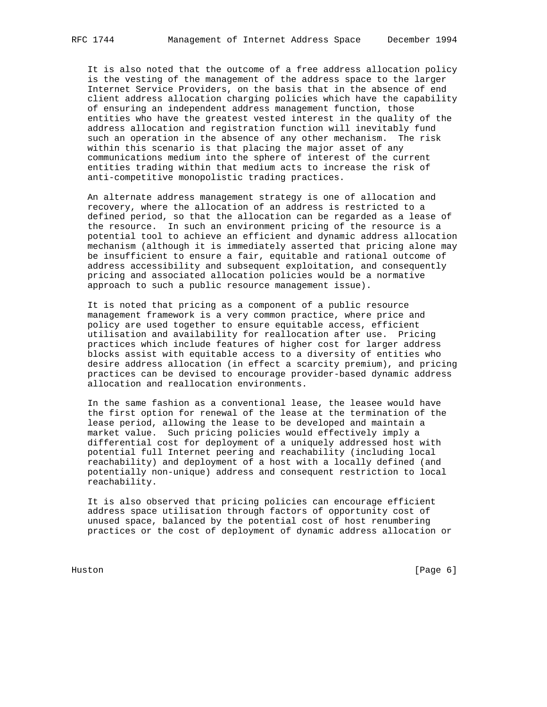It is also noted that the outcome of a free address allocation policy

 is the vesting of the management of the address space to the larger Internet Service Providers, on the basis that in the absence of end client address allocation charging policies which have the capability of ensuring an independent address management function, those entities who have the greatest vested interest in the quality of the address allocation and registration function will inevitably fund such an operation in the absence of any other mechanism. The risk within this scenario is that placing the major asset of any communications medium into the sphere of interest of the current entities trading within that medium acts to increase the risk of anti-competitive monopolistic trading practices.

 An alternate address management strategy is one of allocation and recovery, where the allocation of an address is restricted to a defined period, so that the allocation can be regarded as a lease of the resource. In such an environment pricing of the resource is a potential tool to achieve an efficient and dynamic address allocation mechanism (although it is immediately asserted that pricing alone may be insufficient to ensure a fair, equitable and rational outcome of address accessibility and subsequent exploitation, and consequently pricing and associated allocation policies would be a normative approach to such a public resource management issue).

 It is noted that pricing as a component of a public resource management framework is a very common practice, where price and policy are used together to ensure equitable access, efficient utilisation and availability for reallocation after use. Pricing practices which include features of higher cost for larger address blocks assist with equitable access to a diversity of entities who desire address allocation (in effect a scarcity premium), and pricing practices can be devised to encourage provider-based dynamic address allocation and reallocation environments.

 In the same fashion as a conventional lease, the leasee would have the first option for renewal of the lease at the termination of the lease period, allowing the lease to be developed and maintain a market value. Such pricing policies would effectively imply a differential cost for deployment of a uniquely addressed host with potential full Internet peering and reachability (including local reachability) and deployment of a host with a locally defined (and potentially non-unique) address and consequent restriction to local reachability.

 It is also observed that pricing policies can encourage efficient address space utilisation through factors of opportunity cost of unused space, balanced by the potential cost of host renumbering practices or the cost of deployment of dynamic address allocation or

Huston [Page 6]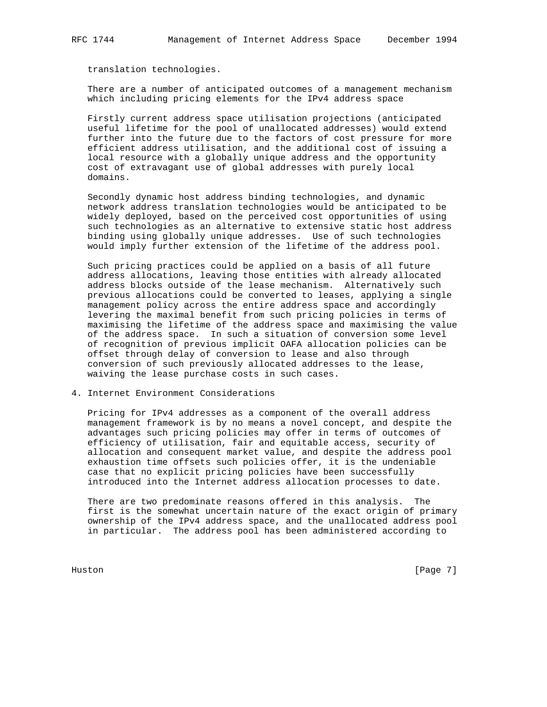translation technologies.

 There are a number of anticipated outcomes of a management mechanism which including pricing elements for the IPv4 address space

 Firstly current address space utilisation projections (anticipated useful lifetime for the pool of unallocated addresses) would extend further into the future due to the factors of cost pressure for more efficient address utilisation, and the additional cost of issuing a local resource with a globally unique address and the opportunity cost of extravagant use of global addresses with purely local domains.

 Secondly dynamic host address binding technologies, and dynamic network address translation technologies would be anticipated to be widely deployed, based on the perceived cost opportunities of using such technologies as an alternative to extensive static host address binding using globally unique addresses. Use of such technologies would imply further extension of the lifetime of the address pool.

 Such pricing practices could be applied on a basis of all future address allocations, leaving those entities with already allocated address blocks outside of the lease mechanism. Alternatively such previous allocations could be converted to leases, applying a single management policy across the entire address space and accordingly levering the maximal benefit from such pricing policies in terms of maximising the lifetime of the address space and maximising the value of the address space. In such a situation of conversion some level of recognition of previous implicit OAFA allocation policies can be offset through delay of conversion to lease and also through conversion of such previously allocated addresses to the lease, waiving the lease purchase costs in such cases.

4. Internet Environment Considerations

 Pricing for IPv4 addresses as a component of the overall address management framework is by no means a novel concept, and despite the advantages such pricing policies may offer in terms of outcomes of efficiency of utilisation, fair and equitable access, security of allocation and consequent market value, and despite the address pool exhaustion time offsets such policies offer, it is the undeniable case that no explicit pricing policies have been successfully introduced into the Internet address allocation processes to date.

 There are two predominate reasons offered in this analysis. The first is the somewhat uncertain nature of the exact origin of primary ownership of the IPv4 address space, and the unallocated address pool in particular. The address pool has been administered according to

Huston [Page 7]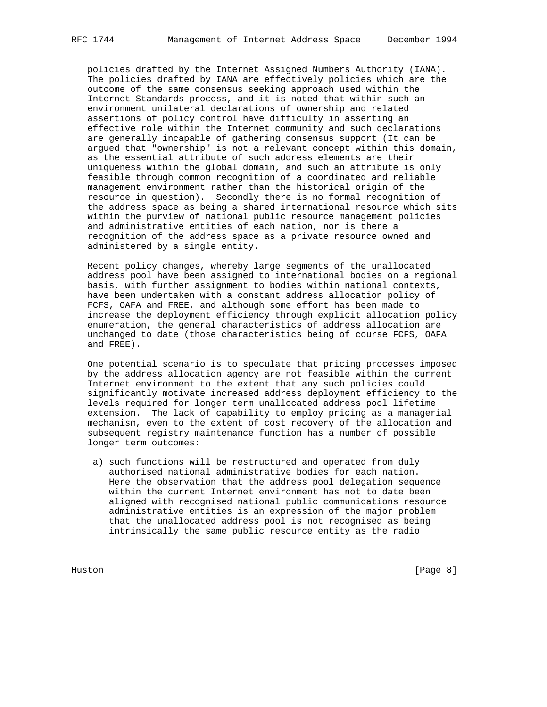policies drafted by the Internet Assigned Numbers Authority (IANA). The policies drafted by IANA are effectively policies which are the outcome of the same consensus seeking approach used within the Internet Standards process, and it is noted that within such an environment unilateral declarations of ownership and related assertions of policy control have difficulty in asserting an effective role within the Internet community and such declarations are generally incapable of gathering consensus support (It can be argued that "ownership" is not a relevant concept within this domain, as the essential attribute of such address elements are their uniqueness within the global domain, and such an attribute is only feasible through common recognition of a coordinated and reliable management environment rather than the historical origin of the resource in question). Secondly there is no formal recognition of the address space as being a shared international resource which sits within the purview of national public resource management policies and administrative entities of each nation, nor is there a recognition of the address space as a private resource owned and administered by a single entity.

 Recent policy changes, whereby large segments of the unallocated address pool have been assigned to international bodies on a regional basis, with further assignment to bodies within national contexts, have been undertaken with a constant address allocation policy of FCFS, OAFA and FREE, and although some effort has been made to increase the deployment efficiency through explicit allocation policy enumeration, the general characteristics of address allocation are unchanged to date (those characteristics being of course FCFS, OAFA and FREE).

 One potential scenario is to speculate that pricing processes imposed by the address allocation agency are not feasible within the current Internet environment to the extent that any such policies could significantly motivate increased address deployment efficiency to the levels required for longer term unallocated address pool lifetime extension. The lack of capability to employ pricing as a managerial mechanism, even to the extent of cost recovery of the allocation and subsequent registry maintenance function has a number of possible longer term outcomes:

 a) such functions will be restructured and operated from duly authorised national administrative bodies for each nation. Here the observation that the address pool delegation sequence within the current Internet environment has not to date been aligned with recognised national public communications resource administrative entities is an expression of the major problem that the unallocated address pool is not recognised as being intrinsically the same public resource entity as the radio

Huston [Page 8]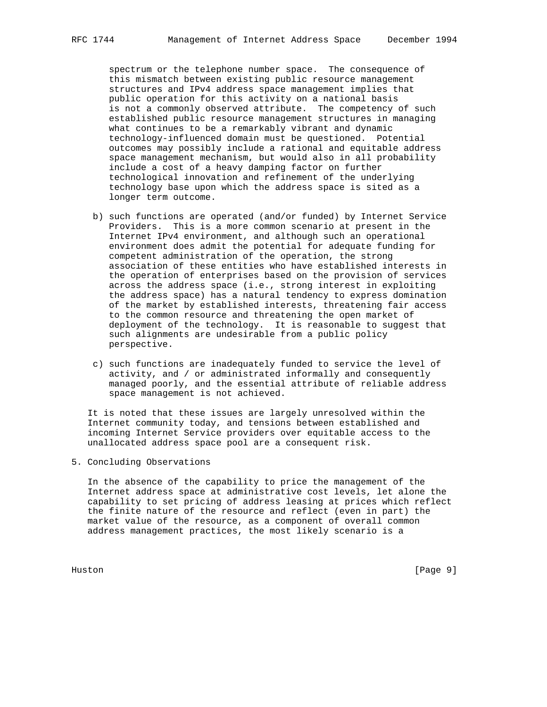spectrum or the telephone number space. The consequence of this mismatch between existing public resource management structures and IPv4 address space management implies that public operation for this activity on a national basis is not a commonly observed attribute. The competency of such established public resource management structures in managing what continues to be a remarkably vibrant and dynamic technology-influenced domain must be questioned. Potential outcomes may possibly include a rational and equitable address space management mechanism, but would also in all probability include a cost of a heavy damping factor on further technological innovation and refinement of the underlying technology base upon which the address space is sited as a longer term outcome.

- b) such functions are operated (and/or funded) by Internet Service Providers. This is a more common scenario at present in the Internet IPv4 environment, and although such an operational environment does admit the potential for adequate funding for competent administration of the operation, the strong association of these entities who have established interests in the operation of enterprises based on the provision of services across the address space (i.e., strong interest in exploiting the address space) has a natural tendency to express domination of the market by established interests, threatening fair access to the common resource and threatening the open market of deployment of the technology. It is reasonable to suggest that such alignments are undesirable from a public policy perspective.
- c) such functions are inadequately funded to service the level of activity, and / or administrated informally and consequently managed poorly, and the essential attribute of reliable address space management is not achieved.

 It is noted that these issues are largely unresolved within the Internet community today, and tensions between established and incoming Internet Service providers over equitable access to the unallocated address space pool are a consequent risk.

5. Concluding Observations

 In the absence of the capability to price the management of the Internet address space at administrative cost levels, let alone the capability to set pricing of address leasing at prices which reflect the finite nature of the resource and reflect (even in part) the market value of the resource, as a component of overall common address management practices, the most likely scenario is a

Huston [Page 9]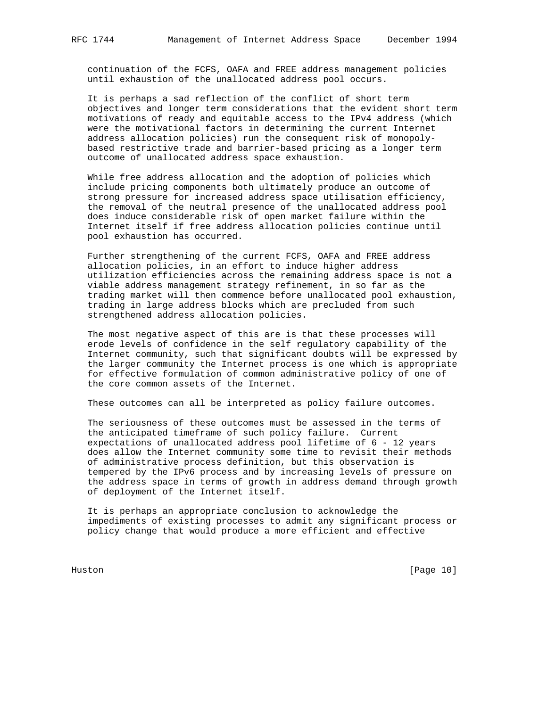continuation of the FCFS, OAFA and FREE address management policies until exhaustion of the unallocated address pool occurs.

 It is perhaps a sad reflection of the conflict of short term objectives and longer term considerations that the evident short term motivations of ready and equitable access to the IPv4 address (which were the motivational factors in determining the current Internet address allocation policies) run the consequent risk of monopoly based restrictive trade and barrier-based pricing as a longer term outcome of unallocated address space exhaustion.

 While free address allocation and the adoption of policies which include pricing components both ultimately produce an outcome of strong pressure for increased address space utilisation efficiency, the removal of the neutral presence of the unallocated address pool does induce considerable risk of open market failure within the Internet itself if free address allocation policies continue until pool exhaustion has occurred.

 Further strengthening of the current FCFS, OAFA and FREE address allocation policies, in an effort to induce higher address utilization efficiencies across the remaining address space is not a viable address management strategy refinement, in so far as the trading market will then commence before unallocated pool exhaustion, trading in large address blocks which are precluded from such strengthened address allocation policies.

 The most negative aspect of this are is that these processes will erode levels of confidence in the self regulatory capability of the Internet community, such that significant doubts will be expressed by the larger community the Internet process is one which is appropriate for effective formulation of common administrative policy of one of the core common assets of the Internet.

These outcomes can all be interpreted as policy failure outcomes.

 The seriousness of these outcomes must be assessed in the terms of the anticipated timeframe of such policy failure. Current expectations of unallocated address pool lifetime of 6 - 12 years does allow the Internet community some time to revisit their methods of administrative process definition, but this observation is tempered by the IPv6 process and by increasing levels of pressure on the address space in terms of growth in address demand through growth of deployment of the Internet itself.

 It is perhaps an appropriate conclusion to acknowledge the impediments of existing processes to admit any significant process or policy change that would produce a more efficient and effective

Huston [Page 10]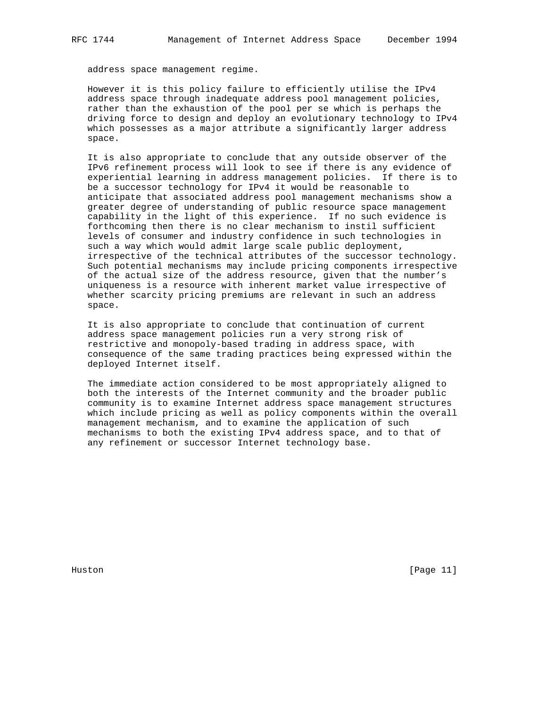address space management regime.

 However it is this policy failure to efficiently utilise the IPv4 address space through inadequate address pool management policies, rather than the exhaustion of the pool per se which is perhaps the driving force to design and deploy an evolutionary technology to IPv4 which possesses as a major attribute a significantly larger address space.

 It is also appropriate to conclude that any outside observer of the IPv6 refinement process will look to see if there is any evidence of experiential learning in address management policies. If there is to be a successor technology for IPv4 it would be reasonable to anticipate that associated address pool management mechanisms show a greater degree of understanding of public resource space management capability in the light of this experience. If no such evidence is forthcoming then there is no clear mechanism to instil sufficient levels of consumer and industry confidence in such technologies in such a way which would admit large scale public deployment, irrespective of the technical attributes of the successor technology. Such potential mechanisms may include pricing components irrespective of the actual size of the address resource, given that the number's uniqueness is a resource with inherent market value irrespective of whether scarcity pricing premiums are relevant in such an address space.

 It is also appropriate to conclude that continuation of current address space management policies run a very strong risk of restrictive and monopoly-based trading in address space, with consequence of the same trading practices being expressed within the deployed Internet itself.

 The immediate action considered to be most appropriately aligned to both the interests of the Internet community and the broader public community is to examine Internet address space management structures which include pricing as well as policy components within the overall management mechanism, and to examine the application of such mechanisms to both the existing IPv4 address space, and to that of any refinement or successor Internet technology base.

Huston [Page 11]